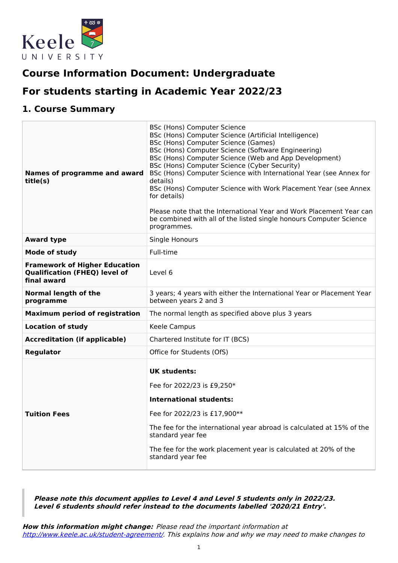

# **Course Information Document: Undergraduate**

# **For students starting in Academic Year 2022/23**

# **1. Course Summary**

| Names of programme and award<br>title(s)                                                    | <b>BSc (Hons) Computer Science</b><br>BSc (Hons) Computer Science (Artificial Intelligence)<br>BSc (Hons) Computer Science (Games)<br>BSc (Hons) Computer Science (Software Engineering)<br>BSc (Hons) Computer Science (Web and App Development)<br>BSc (Hons) Computer Science (Cyber Security)<br>BSc (Hons) Computer Science with International Year (see Annex for<br>details)<br>BSc (Hons) Computer Science with Work Placement Year (see Annex<br>for details)<br>Please note that the International Year and Work Placement Year can<br>be combined with all of the listed single honours Computer Science<br>programmes. |
|---------------------------------------------------------------------------------------------|------------------------------------------------------------------------------------------------------------------------------------------------------------------------------------------------------------------------------------------------------------------------------------------------------------------------------------------------------------------------------------------------------------------------------------------------------------------------------------------------------------------------------------------------------------------------------------------------------------------------------------|
| <b>Award type</b>                                                                           | Single Honours                                                                                                                                                                                                                                                                                                                                                                                                                                                                                                                                                                                                                     |
| Mode of study                                                                               | Full-time                                                                                                                                                                                                                                                                                                                                                                                                                                                                                                                                                                                                                          |
| <b>Framework of Higher Education</b><br><b>Qualification (FHEQ) level of</b><br>final award | Level 6                                                                                                                                                                                                                                                                                                                                                                                                                                                                                                                                                                                                                            |
| <b>Normal length of the</b><br>programme                                                    | 3 years; 4 years with either the International Year or Placement Year<br>between years 2 and 3                                                                                                                                                                                                                                                                                                                                                                                                                                                                                                                                     |
| <b>Maximum period of registration</b>                                                       | The normal length as specified above plus 3 years                                                                                                                                                                                                                                                                                                                                                                                                                                                                                                                                                                                  |
| <b>Location of study</b>                                                                    | Keele Campus                                                                                                                                                                                                                                                                                                                                                                                                                                                                                                                                                                                                                       |
| <b>Accreditation (if applicable)</b>                                                        | Chartered Institute for IT (BCS)                                                                                                                                                                                                                                                                                                                                                                                                                                                                                                                                                                                                   |
| <b>Regulator</b>                                                                            | Office for Students (OfS)                                                                                                                                                                                                                                                                                                                                                                                                                                                                                                                                                                                                          |
| <b>Tuition Fees</b>                                                                         | <b>UK students:</b><br>Fee for 2022/23 is £9,250*<br><b>International students:</b><br>Fee for 2022/23 is £17,900**<br>The fee for the international year abroad is calculated at 15% of the<br>standard year fee<br>The fee for the work placement year is calculated at 20% of the<br>standard year fee                                                                                                                                                                                                                                                                                                                          |

**Please note this document applies to Level 4 and Level 5 students only in 2022/23. Level 6 students should refer instead to the documents labelled '2020/21 Entry'.**

**How this information might change:** Please read the important information at <http://www.keele.ac.uk/student-agreement/>. This explains how and why we may need to make changes to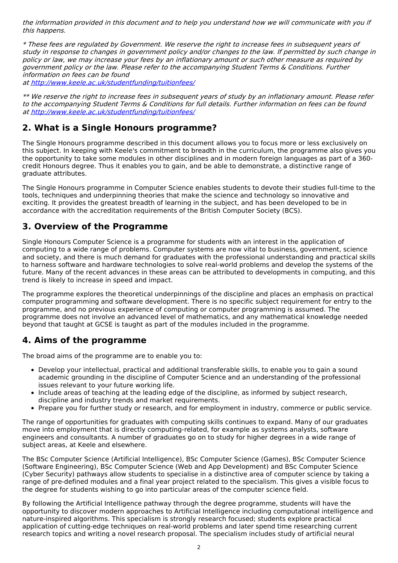the information provided in this document and to help you understand how we will communicate with you if this happens.

\* These fees are regulated by Government. We reserve the right to increase fees in subsequent years of study in response to changes in government policy and/or changes to the law. If permitted by such change in policy or law, we may increase your fees by an inflationary amount or such other measure as required by government policy or the law. Please refer to the accompanying Student Terms & Conditions. Further information on fees can be found at <http://www.keele.ac.uk/studentfunding/tuitionfees/>

\*\* We reserve the right to increase fees in subsequent years of study by an inflationary amount. Please refer to the accompanying Student Terms & Conditions for full details. Further information on fees can be found at <http://www.keele.ac.uk/studentfunding/tuitionfees/>

# **2. What is a Single Honours programme?**

The Single Honours programme described in this document allows you to focus more or less exclusively on this subject. In keeping with Keele's commitment to breadth in the curriculum, the programme also gives you the opportunity to take some modules in other disciplines and in modern foreign languages as part of a 360 credit Honours degree. Thus it enables you to gain, and be able to demonstrate, a distinctive range of graduate attributes.

The Single Honours programme in Computer Science enables students to devote their studies full-time to the tools, techniques and underpinning theories that make the science and technology so innovative and exciting. It provides the greatest breadth of learning in the subject, and has been developed to be in accordance with the accreditation requirements of the British Computer Society (BCS).

# **3. Overview of the Programme**

Single Honours Computer Science is a programme for students with an interest in the application of computing to a wide range of problems. Computer systems are now vital to business, government, science and society, and there is much demand for graduates with the professional understanding and practical skills to harness software and hardware technologies to solve real-world problems and develop the systems of the future. Many of the recent advances in these areas can be attributed to developments in computing, and this trend is likely to increase in speed and impact.

The programme explores the theoretical underpinnings of the discipline and places an emphasis on practical computer programming and software development. There is no specific subject requirement for entry to the programme, and no previous experience of computing or computer programming is assumed. The programme does not involve an advanced level of mathematics, and any mathematical knowledge needed beyond that taught at GCSE is taught as part of the modules included in the programme.

# **4. Aims of the programme**

The broad aims of the programme are to enable you to:

- Develop your intellectual, practical and additional transferable skills, to enable you to gain a sound academic grounding in the discipline of Computer Science and an understanding of the professional issues relevant to your future working life.
- Include areas of teaching at the leading edge of the discipline, as informed by subject research, discipline and industry trends and market requirements.
- Prepare you for further study or research, and for employment in industry, commerce or public service.

The range of opportunities for graduates with computing skills continues to expand. Many of our graduates move into employment that is directly computing-related, for example as systems analysts, software engineers and consultants. A number of graduates go on to study for higher degrees in a wide range of subject areas, at Keele and elsewhere.

The BSc Computer Science (Artificial Intelligence), BSc Computer Science (Games), BSc Computer Science (Software Engineering), BSc Computer Science (Web and App Development) and BSc Computer Science (Cyber Security) pathways allow students to specialise in a distinctive area of computer science by taking a range of pre-defined modules and a final year project related to the specialism. This gives a visible focus to the degree for students wishing to go into particular areas of the computer science field.

By following the Artificial Intelligence pathway through the degree programme, students will have the opportunity to discover modern approaches to Artificial Intelligence including computational intelligence and nature-inspired algorithms. This specialism is strongly research focused; students explore practical application of cutting-edge techniques on real-world problems and later spend time researching current research topics and writing a novel research proposal. The specialism includes study of artificial neural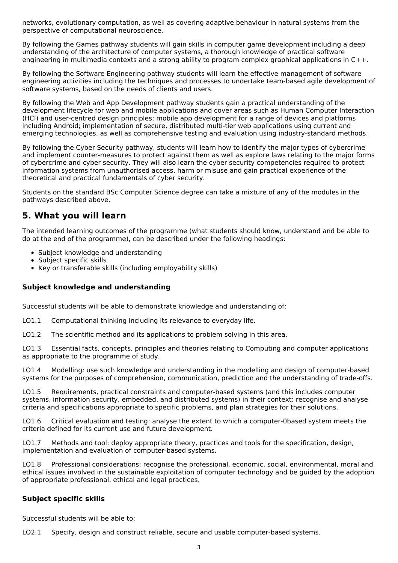networks, evolutionary computation, as well as covering adaptive behaviour in natural systems from the perspective of computational neuroscience.

By following the Games pathway students will gain skills in computer game development including a deep understanding of the architecture of computer systems, a thorough knowledge of practical software engineering in multimedia contexts and a strong ability to program complex graphical applications in C++.

By following the Software Engineering pathway students will learn the effective management of software engineering activities including the techniques and processes to undertake team-based agile development of software systems, based on the needs of clients and users.

By following the Web and App Development pathway students gain a practical understanding of the development lifecycle for web and mobile applications and cover areas such as Human Computer Interaction (HCI) and user-centred design principles; mobile app development for a range of devices and platforms including Android; implementation of secure, distributed multi-tier web applications using current and emerging technologies, as well as comprehensive testing and evaluation using industry-standard methods.

By following the Cyber Security pathway, students will learn how to identify the major types of cybercrime and implement counter-measures to protect against them as well as explore laws relating to the major forms of cybercrime and cyber security. They will also learn the cyber security competencies required to protect information systems from unauthorised access, harm or misuse and gain practical experience of the theoretical and practical fundamentals of cyber security.

Students on the standard BSc Computer Science degree can take a mixture of any of the modules in the pathways described above.

# **5. What you will learn**

The intended learning outcomes of the programme (what students should know, understand and be able to do at the end of the programme), can be described under the following headings:

- Subject knowledge and understanding
- Subject specific skills
- Key or transferable skills (including employability skills)

## **Subject knowledge and understanding**

Successful students will be able to demonstrate knowledge and understanding of:

LO1.1 Computational thinking including its relevance to everyday life.

LO1.2 The scientific method and its applications to problem solving in this area.

LO1.3 Essential facts, concepts, principles and theories relating to Computing and computer applications as appropriate to the programme of study.

LO1.4 Modelling: use such knowledge and understanding in the modelling and design of computer-based systems for the purposes of comprehension, communication, prediction and the understanding of trade-offs.

LO1.5 Requirements, practical constraints and computer-based systems (and this includes computer systems, information security, embedded, and distributed systems) in their context: recognise and analyse criteria and specifications appropriate to specific problems, and plan strategies for their solutions.

LO1.6 Critical evaluation and testing: analyse the extent to which a computer-0based system meets the criteria defined for its current use and future development.

LO1.7 Methods and tool: deploy appropriate theory, practices and tools for the specification, design, implementation and evaluation of computer-based systems.

LO1.8 Professional considerations: recognise the professional, economic, social, environmental, moral and ethical issues involved in the sustainable exploitation of computer technology and be guided by the adoption of appropriate professional, ethical and legal practices.

## **Subject specific skills**

Successful students will be able to:

LO2.1 Specify, design and construct reliable, secure and usable computer-based systems.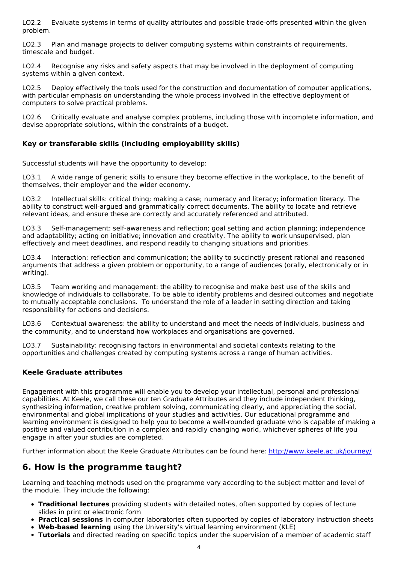LO2.2 Evaluate systems in terms of quality attributes and possible trade-offs presented within the given problem.

LO2.3 Plan and manage projects to deliver computing systems within constraints of requirements, timescale and budget.

LO2.4 Recognise any risks and safety aspects that may be involved in the deployment of computing systems within a given context.

LO2.5 Deploy effectively the tools used for the construction and documentation of computer applications, with particular emphasis on understanding the whole process involved in the effective deployment of computers to solve practical problems.

LO2.6 Critically evaluate and analyse complex problems, including those with incomplete information, and devise appropriate solutions, within the constraints of a budget.

## **Key or transferable skills (including employability skills)**

Successful students will have the opportunity to develop:

LO3.1 A wide range of generic skills to ensure they become effective in the workplace, to the benefit of themselves, their employer and the wider economy.

LO3.2 Intellectual skills: critical thing; making a case; numeracy and literacy; information literacy. The ability to construct well-argued and grammatically correct documents. The ability to locate and retrieve relevant ideas, and ensure these are correctly and accurately referenced and attributed.

LO3.3 Self-management: self-awareness and reflection; goal setting and action planning; independence and adaptability; acting on initiative; innovation and creativity. The ability to work unsupervised, plan effectively and meet deadlines, and respond readily to changing situations and priorities.

LO3.4 Interaction: reflection and communication; the ability to succinctly present rational and reasoned arguments that address a given problem or opportunity, to a range of audiences (orally, electronically or in writing).

LO3.5 Team working and management: the ability to recognise and make best use of the skills and knowledge of individuals to collaborate. To be able to identify problems and desired outcomes and negotiate to mutually acceptable conclusions. To understand the role of a leader in setting direction and taking responsibility for actions and decisions.

LO3.6 Contextual awareness: the ability to understand and meet the needs of individuals, business and the community, and to understand how workplaces and organisations are governed.

LO3.7 Sustainability: recognising factors in environmental and societal contexts relating to the opportunities and challenges created by computing systems across a range of human activities.

## **Keele Graduate attributes**

Engagement with this programme will enable you to develop your intellectual, personal and professional capabilities. At Keele, we call these our ten Graduate Attributes and they include independent thinking, synthesizing information, creative problem solving, communicating clearly, and appreciating the social, environmental and global implications of your studies and activities. Our educational programme and learning environment is designed to help you to become a well-rounded graduate who is capable of making a positive and valued contribution in a complex and rapidly changing world, whichever spheres of life you engage in after your studies are completed.

Further information about the Keele Graduate Attributes can be found here: <http://www.keele.ac.uk/journey/>

## **6. How is the programme taught?**

Learning and teaching methods used on the programme vary according to the subject matter and level of the module. They include the following:

- **Traditional lectures** providing students with detailed notes, often supported by copies of lecture slides in print or electronic form
- **Practical sessions** in computer laboratories often supported by copies of laboratory instruction sheets
- **Web-based learning** using the University's virtual learning environment (KLE)
- **Tutorials** and directed reading on specific topics under the supervision of a member of academic staff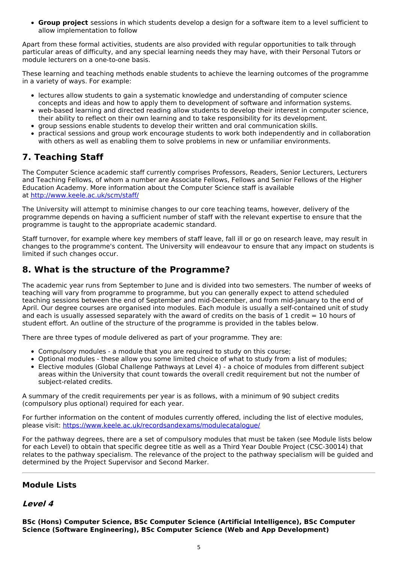**Group project** sessions in which students develop a design for a software item to a level sufficient to allow implementation to follow

Apart from these formal activities, students are also provided with regular opportunities to talk through particular areas of difficulty, and any special learning needs they may have, with their Personal Tutors or module lecturers on a one-to-one basis.

These learning and teaching methods enable students to achieve the learning outcomes of the programme in a variety of ways. For example:

- lectures allow students to gain a systematic knowledge and understanding of computer science concepts and ideas and how to apply them to development of software and information systems.
- web-based learning and directed reading allow students to develop their interest in computer science, their ability to reflect on their own learning and to take responsibility for its development.
- group sessions enable students to develop their written and oral communication skills.
- practical sessions and group work encourage students to work both independently and in collaboration with others as well as enabling them to solve problems in new or unfamiliar environments.

# **7. Teaching Staff**

The Computer Science academic staff currently comprises Professors, Readers, Senior Lecturers, Lecturers and Teaching Fellows, of whom a number are Associate Fellows, Fellows and Senior Fellows of the Higher Education Academy. More information about the Computer Science staff is available at <http://www.keele.ac.uk/scm/staff/>

The University will attempt to minimise changes to our core teaching teams, however, delivery of the programme depends on having a sufficient number of staff with the relevant expertise to ensure that the programme is taught to the appropriate academic standard.

Staff turnover, for example where key members of staff leave, fall ill or go on research leave, may result in changes to the programme's content. The University will endeavour to ensure that any impact on students is limited if such changes occur.

# **8. What is the structure of the Programme?**

The academic year runs from September to June and is divided into two semesters. The number of weeks of teaching will vary from programme to programme, but you can generally expect to attend scheduled teaching sessions between the end of September and mid-December, and from mid-January to the end of April. Our degree courses are organised into modules. Each module is usually a self-contained unit of study and each is usually assessed separately with the award of credits on the basis of 1 credit  $= 10$  hours of student effort. An outline of the structure of the programme is provided in the tables below.

There are three types of module delivered as part of your programme. They are:

- Compulsory modules a module that you are required to study on this course;
- Optional modules these allow you some limited choice of what to study from a list of modules; Elective modules (Global Challenge Pathways at Level 4) - a choice of modules from different subject areas within the University that count towards the overall credit requirement but not the number of subject-related credits.

A summary of the credit requirements per year is as follows, with a minimum of 90 subject credits (compulsory plus optional) required for each year.

For further information on the content of modules currently offered, including the list of elective modules, please visit: <https://www.keele.ac.uk/recordsandexams/modulecatalogue/>

For the pathway degrees, there are a set of compulsory modules that must be taken (see Module lists below for each Level) to obtain that specific degree title as well as a Third Year Double Project (CSC-30014) that relates to the pathway specialism. The relevance of the project to the pathway specialism will be guided and determined by the Project Supervisor and Second Marker.

## **Module Lists**

## **Level 4**

**BSc (Hons) Computer Science, BSc Computer Science (Artificial Intelligence), BSc Computer Science (Software Engineering), BSc Computer Science (Web and App Development)**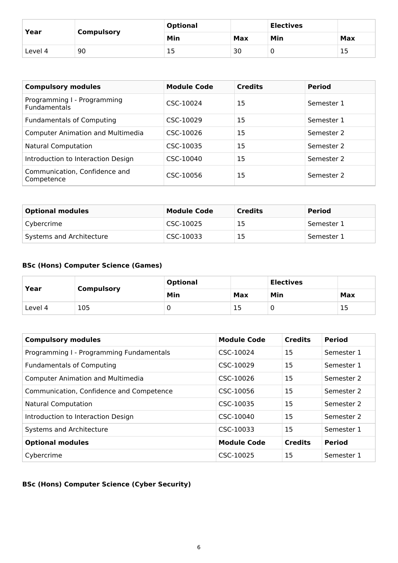| Year    |                   | <b>Optional</b> | <b>Electives</b> |     |     |
|---------|-------------------|-----------------|------------------|-----|-----|
|         | <b>Compulsory</b> | Min             | Max              | Min | Max |
| Level 4 | 90                | ∸ →             | 30               |     | ر 1 |

| <b>Compulsory modules</b>                          | <b>Module Code</b> | <b>Credits</b> | <b>Period</b> |
|----------------------------------------------------|--------------------|----------------|---------------|
| Programming I - Programming<br><b>Fundamentals</b> | CSC-10024          | 15             | Semester 1    |
| <b>Fundamentals of Computing</b>                   | CSC-10029          | 15             | Semester 1    |
| <b>Computer Animation and Multimedia</b>           | CSC-10026          | 15             | Semester 2    |
| <b>Natural Computation</b>                         | CSC-10035          | 15             | Semester 2    |
| Introduction to Interaction Design                 | CSC-10040          | 15             | Semester 2    |
| Communication, Confidence and<br>Competence        | CSC-10056          | 15             | Semester 2    |

| <b>Optional modules</b>  | <b>Module Code</b> | <b>Credits</b> | <b>Period</b> |
|--------------------------|--------------------|----------------|---------------|
| Cybercrime               | CSC-10025          | 15             | Semester 1    |
| Systems and Architecture | CSC-10033          | 15             | Semester 1    |

## **BSc (Hons) Computer Science (Games)**

| Year    | <b>Compulsory</b> | <b>Optional</b> |     | <b>Electives</b> |     |
|---------|-------------------|-----------------|-----|------------------|-----|
|         |                   | Min             | Max | Min              | Max |
| Level 4 | 105               | ν               | כ ב |                  | Тp  |

| <b>Compulsory modules</b>                | <b>Module Code</b> | <b>Credits</b> | <b>Period</b> |
|------------------------------------------|--------------------|----------------|---------------|
| Programming I - Programming Fundamentals | CSC-10024          | 15             | Semester 1    |
| <b>Fundamentals of Computing</b>         | CSC-10029          | 15             | Semester 1    |
| <b>Computer Animation and Multimedia</b> | CSC-10026          | 15             | Semester 2    |
| Communication, Confidence and Competence | CSC-10056          | 15             | Semester 2    |
| <b>Natural Computation</b>               | CSC-10035          | 15             | Semester 2    |
| Introduction to Interaction Design       | CSC-10040          | 15             | Semester 2    |
| Systems and Architecture                 | CSC-10033          | 15             | Semester 1    |
| <b>Optional modules</b>                  | <b>Module Code</b> | <b>Credits</b> | <b>Period</b> |
| Cybercrime                               | CSC-10025          | 15             | Semester 1    |

# **BSc (Hons) Computer Science (Cyber Security)**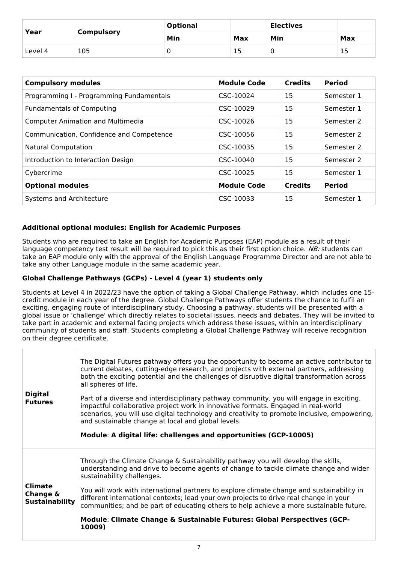| Year    | <b>Compulsory</b> | <b>Optional</b> |     | <b>Electives</b> |     |
|---------|-------------------|-----------------|-----|------------------|-----|
|         |                   | Min             | Max | Min              | Max |
| Level 4 | 105               |                 | Τp  |                  | 15  |

| <b>Compulsory modules</b>                | <b>Module Code</b> | <b>Credits</b> | <b>Period</b> |
|------------------------------------------|--------------------|----------------|---------------|
| Programming I - Programming Fundamentals | CSC-10024          | 15             | Semester 1    |
| <b>Fundamentals of Computing</b>         | CSC-10029          | 15             | Semester 1    |
| <b>Computer Animation and Multimedia</b> | CSC-10026          | 15             | Semester 2    |
| Communication, Confidence and Competence | CSC-10056          | 15             | Semester 2    |
| <b>Natural Computation</b>               | CSC-10035          | 15             | Semester 2    |
| Introduction to Interaction Design       | CSC-10040          | 15             | Semester 2    |
| Cybercrime                               | CSC-10025          | 15             | Semester 1    |
| <b>Optional modules</b>                  | <b>Module Code</b> | <b>Credits</b> | <b>Period</b> |
| Systems and Architecture                 | CSC-10033          | 15             | Semester 1    |

## **Additional optional modules: English for Academic Purposes**

Students who are required to take an English for Academic Purposes (EAP) module as a result of their language competency test result will be required to pick this as their first option choice. NB: students can take an EAP module only with the approval of the English Language Programme Director and are not able to take any other Language module in the same academic year.

## **Global Challenge Pathways (GCPs) - Level 4 (year 1) students only**

Students at Level 4 in 2022/23 have the option of taking a Global Challenge Pathway, which includes one 15 credit module in each year of the degree. Global Challenge Pathways offer students the chance to fulfil an exciting, engaging route of interdisciplinary study. Choosing a pathway, students will be presented with a global issue or 'challenge' which directly relates to societal issues, needs and debates. They will be invited to take part in academic and external facing projects which address these issues, within an interdisciplinary community of students and staff. Students completing a Global Challenge Pathway will receive recognition on their degree certificate.

| <b>Digital</b><br><b>Futures</b>                    | The Digital Futures pathway offers you the opportunity to become an active contributor to<br>current debates, cutting-edge research, and projects with external partners, addressing<br>both the exciting potential and the challenges of disruptive digital transformation across<br>all spheres of life.<br>Part of a diverse and interdisciplinary pathway community, you will engage in exciting, |
|-----------------------------------------------------|-------------------------------------------------------------------------------------------------------------------------------------------------------------------------------------------------------------------------------------------------------------------------------------------------------------------------------------------------------------------------------------------------------|
|                                                     | impactful collaborative project work in innovative formats. Engaged in real-world<br>scenarios, you will use digital technology and creativity to promote inclusive, empowering,<br>and sustainable change at local and global levels.                                                                                                                                                                |
|                                                     | Module: A digital life: challenges and opportunities (GCP-10005)                                                                                                                                                                                                                                                                                                                                      |
| <b>Climate</b><br>Change &<br><b>Sustainability</b> | Through the Climate Change & Sustainability pathway you will develop the skills,<br>understanding and drive to become agents of change to tackle climate change and wider<br>sustainability challenges.                                                                                                                                                                                               |
|                                                     | You will work with international partners to explore climate change and sustainability in<br>different international contexts; lead your own projects to drive real change in your<br>communities; and be part of educating others to help achieve a more sustainable future.                                                                                                                         |
|                                                     | Module: Climate Change & Sustainable Futures: Global Perspectives (GCP-<br>10009)                                                                                                                                                                                                                                                                                                                     |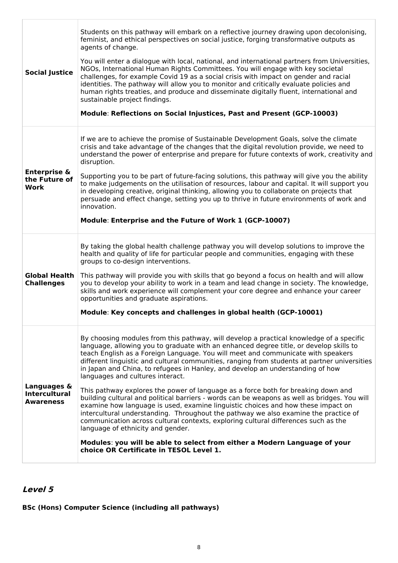| <b>Social Justice</b>                                   | Students on this pathway will embark on a reflective journey drawing upon decolonising,<br>feminist, and ethical perspectives on social justice, forging transformative outputs as<br>agents of change.<br>You will enter a dialogue with local, national, and international partners from Universities,<br>NGOs, International Human Rights Committees. You will engage with key societal<br>challenges, for example Covid 19 as a social crisis with impact on gender and racial<br>identities. The pathway will allow you to monitor and critically evaluate policies and<br>human rights treaties, and produce and disseminate digitally fluent, international and<br>sustainable project findings.<br>Module: Reflections on Social Injustices, Past and Present (GCP-10003)                                                                                                                                                                                                                                                                                                                              |
|---------------------------------------------------------|----------------------------------------------------------------------------------------------------------------------------------------------------------------------------------------------------------------------------------------------------------------------------------------------------------------------------------------------------------------------------------------------------------------------------------------------------------------------------------------------------------------------------------------------------------------------------------------------------------------------------------------------------------------------------------------------------------------------------------------------------------------------------------------------------------------------------------------------------------------------------------------------------------------------------------------------------------------------------------------------------------------------------------------------------------------------------------------------------------------|
| <b>Enterprise &amp;</b><br>the Future of<br>Work        | If we are to achieve the promise of Sustainable Development Goals, solve the climate<br>crisis and take advantage of the changes that the digital revolution provide, we need to<br>understand the power of enterprise and prepare for future contexts of work, creativity and<br>disruption.<br>Supporting you to be part of future-facing solutions, this pathway will give you the ability<br>to make judgements on the utilisation of resources, labour and capital. It will support you<br>in developing creative, original thinking, allowing you to collaborate on projects that<br>persuade and effect change, setting you up to thrive in future environments of work and<br>innovation.<br>Module: Enterprise and the Future of Work 1 (GCP-10007)                                                                                                                                                                                                                                                                                                                                                   |
| <b>Global Health</b><br><b>Challenges</b>               | By taking the global health challenge pathway you will develop solutions to improve the<br>health and quality of life for particular people and communities, engaging with these<br>groups to co-design interventions.<br>This pathway will provide you with skills that go beyond a focus on health and will allow<br>you to develop your ability to work in a team and lead change in society. The knowledge,<br>skills and work experience will complement your core degree and enhance your career<br>opportunities and graduate aspirations.<br>Module: Key concepts and challenges in global health (GCP-10001)                                                                                                                                                                                                                                                                                                                                                                                                                                                                                          |
| Languages &<br><b>Intercultural</b><br><b>Awareness</b> | By choosing modules from this pathway, will develop a practical knowledge of a specific<br>language, allowing you to graduate with an enhanced degree title, or develop skills to<br>teach English as a Foreign Language. You will meet and communicate with speakers<br>different linguistic and cultural communities, ranging from students at partner universities<br>in Japan and China, to refugees in Hanley, and develop an understanding of how<br>languages and cultures interact.<br>This pathway explores the power of language as a force both for breaking down and<br>building cultural and political barriers - words can be weapons as well as bridges. You will<br>examine how language is used, examine linguistic choices and how these impact on<br>intercultural understanding. Throughout the pathway we also examine the practice of<br>communication across cultural contexts, exploring cultural differences such as the<br>language of ethnicity and gender.<br>Modules: you will be able to select from either a Modern Language of your<br>choice OR Certificate in TESOL Level 1. |

# **Level 5**

## **BSc (Hons) Computer Science (including all pathways)**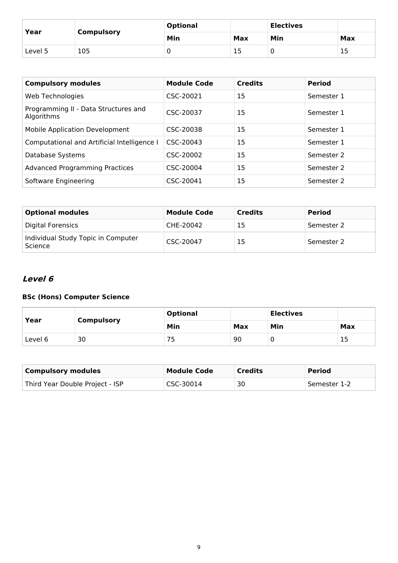| Year    | <b>Compulsory</b> | <b>Optional</b> |     | <b>Electives</b> |     |
|---------|-------------------|-----------------|-----|------------------|-----|
|         |                   | Min             | Max | Min              | Max |
| Level 5 | 105               | ີ               | 15  |                  | 15  |

| <b>Compulsory modules</b>                          | <b>Module Code</b> | <b>Credits</b> | <b>Period</b> |
|----------------------------------------------------|--------------------|----------------|---------------|
| Web Technologies                                   | CSC-20021          | 15             | Semester 1    |
| Programming II - Data Structures and<br>Algorithms | CSC-20037          | 15             | Semester 1    |
| <b>Mobile Application Development</b>              | CSC-20038          | 15             | Semester 1    |
| Computational and Artificial Intelligence I        | CSC-20043          | 15             | Semester 1    |
| Database Systems                                   | CSC-20002          | 15             | Semester 2    |
| <b>Advanced Programming Practices</b>              | CSC-20004          | 15             | Semester 2    |
| Software Engineering                               | CSC-20041          | 15             | Semester 2    |

| <b>Optional modules</b>                       | <b>Module Code</b> | <b>Credits</b> | <b>Period</b> |
|-----------------------------------------------|--------------------|----------------|---------------|
| Digital Forensics                             | CHE-20042          | 15             | Semester 2    |
| Individual Study Topic in Computer<br>Science | CSC-20047          | 15             | Semester 2    |

# **Level 6**

## **BSc (Hons) Computer Science**

| Year    | <b>Compulsory</b> | <b>Optional</b> |     | <b>Electives</b> |     |
|---------|-------------------|-----------------|-----|------------------|-----|
|         |                   | Min             | Max | Min              | Max |
| Level 6 | 30                | 75              | 90  |                  | 15  |

| <b>Compulsory modules</b>       | <b>Module Code</b> | <b>Credits</b> | <b>Period</b> |
|---------------------------------|--------------------|----------------|---------------|
| Third Year Double Project - ISP | CSC-30014          | 30             | Semester 1-2  |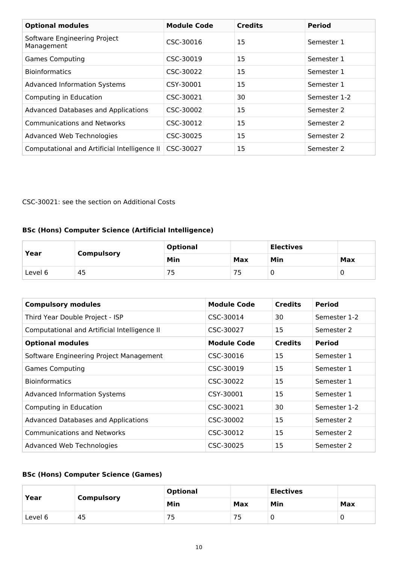| <b>Optional modules</b>                      | <b>Module Code</b> | <b>Credits</b> | <b>Period</b> |
|----------------------------------------------|--------------------|----------------|---------------|
| Software Engineering Project<br>Management   | CSC-30016          | 15             | Semester 1    |
| <b>Games Computing</b>                       | CSC-30019          | 15             | Semester 1    |
| <b>Bioinformatics</b>                        | CSC-30022          | 15             | Semester 1    |
| <b>Advanced Information Systems</b>          | CSY-30001          | 15             | Semester 1    |
| Computing in Education                       | CSC-30021          | 30             | Semester 1-2  |
| <b>Advanced Databases and Applications</b>   | CSC-30002          | 15             | Semester 2    |
| <b>Communications and Networks</b>           | CSC-30012          | 15             | Semester 2    |
| Advanced Web Technologies                    | CSC-30025          | 15             | Semester 2    |
| Computational and Artificial Intelligence II | CSC-30027          | 15             | Semester 2    |

## CSC-30021: see the section on Additional Costs

## **BSc (Hons) Computer Science (Artificial Intelligence)**

| Year    | <b>Compulsory</b> | <b>Optional</b> |     | <b>Electives</b> |     |
|---------|-------------------|-----------------|-----|------------------|-----|
|         |                   | Min             | Max | Min              | Max |
| Level 6 | 45                | 75              | 75  |                  |     |

| <b>Compulsory modules</b>                    | <b>Module Code</b> | <b>Credits</b> | <b>Period</b> |
|----------------------------------------------|--------------------|----------------|---------------|
| Third Year Double Project - ISP              | CSC-30014          | 30             | Semester 1-2  |
| Computational and Artificial Intelligence II | CSC-30027          | 15             | Semester 2    |
| <b>Optional modules</b>                      | <b>Module Code</b> | <b>Credits</b> | <b>Period</b> |
| Software Engineering Project Management      | CSC-30016          | 15             | Semester 1    |
| <b>Games Computing</b>                       | CSC-30019          | 15             | Semester 1    |
| <b>Bioinformatics</b>                        | CSC-30022          | 15             | Semester 1    |
| <b>Advanced Information Systems</b>          | CSY-30001          | 15             | Semester 1    |
| Computing in Education                       | CSC-30021          | 30             | Semester 1-2  |
| Advanced Databases and Applications          | CSC-30002          | 15             | Semester 2    |
| <b>Communications and Networks</b>           | CSC-30012          | 15             | Semester 2    |
| Advanced Web Technologies                    | CSC-30025          | 15             | Semester 2    |

# **BSc (Hons) Computer Science (Games)**

| Year    | <b>Compulsory</b> | <b>Optional</b> | <b>Electives</b> |     |     |
|---------|-------------------|-----------------|------------------|-----|-----|
|         |                   | Min             | Max              | Min | Max |
| Level 6 | 45                |                 | ٮ                |     |     |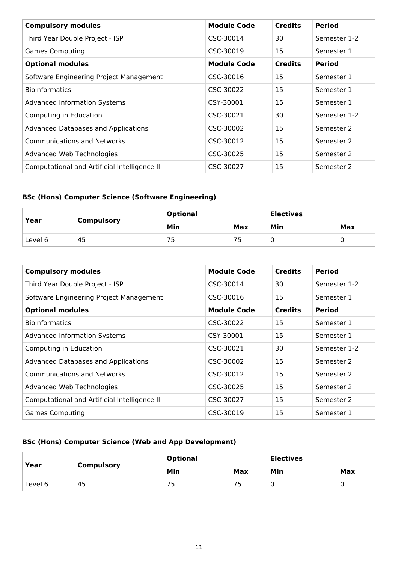| <b>Compulsory modules</b>                    | <b>Module Code</b> | <b>Credits</b> | <b>Period</b> |
|----------------------------------------------|--------------------|----------------|---------------|
| Third Year Double Project - ISP              | CSC-30014          | 30             | Semester 1-2  |
| <b>Games Computing</b>                       | CSC-30019          | 15             | Semester 1    |
| <b>Optional modules</b>                      | <b>Module Code</b> | <b>Credits</b> | <b>Period</b> |
| Software Engineering Project Management      | CSC-30016          | 15             | Semester 1    |
| <b>Bioinformatics</b>                        | CSC-30022          | 15             | Semester 1    |
| <b>Advanced Information Systems</b>          | CSY-30001          | 15             | Semester 1    |
| Computing in Education                       | CSC-30021          | 30             | Semester 1-2  |
| Advanced Databases and Applications          | CSC-30002          | 15             | Semester 2    |
| <b>Communications and Networks</b>           | CSC-30012          | 15             | Semester 2    |
| Advanced Web Technologies                    | CSC-30025          | 15             | Semester 2    |
| Computational and Artificial Intelligence II | CSC-30027          | 15             | Semester 2    |

# **BSc (Hons) Computer Science (Software Engineering)**

| Year    |                   | <b>Optional</b> |           | <b>Electives</b> |     |
|---------|-------------------|-----------------|-----------|------------------|-----|
|         | <b>Compulsory</b> | Min             | Max       | Min              | Max |
| Level 6 | 45                | כ י             | 75<br>כ י |                  |     |

| <b>Compulsory modules</b>                    | <b>Module Code</b> | <b>Credits</b> | <b>Period</b> |
|----------------------------------------------|--------------------|----------------|---------------|
| Third Year Double Project - ISP              | CSC-30014          | 30             | Semester 1-2  |
| Software Engineering Project Management      | CSC-30016          | 15             | Semester 1    |
| <b>Optional modules</b>                      | <b>Module Code</b> | <b>Credits</b> | <b>Period</b> |
| <b>Bioinformatics</b>                        | CSC-30022          | 15             | Semester 1    |
| <b>Advanced Information Systems</b>          | CSY-30001          | 15             | Semester 1    |
| Computing in Education                       | CSC-30021          | 30             | Semester 1-2  |
| Advanced Databases and Applications          | CSC-30002          | 15             | Semester 2    |
| <b>Communications and Networks</b>           | CSC-30012          | 15             | Semester 2    |
| Advanced Web Technologies                    | CSC-30025          | 15             | Semester 2    |
| Computational and Artificial Intelligence II | CSC-30027          | 15             | Semester 2    |
| <b>Games Computing</b>                       | CSC-30019          | 15             | Semester 1    |

## **BSc (Hons) Computer Science (Web and App Development)**

| Year    | <b>Compulsory</b> | <b>Optional</b> |     | <b>Electives</b> |     |
|---------|-------------------|-----------------|-----|------------------|-----|
|         |                   | Min             | Max | Min              | Max |
| Level 6 | 45                |                 | 75  |                  | U   |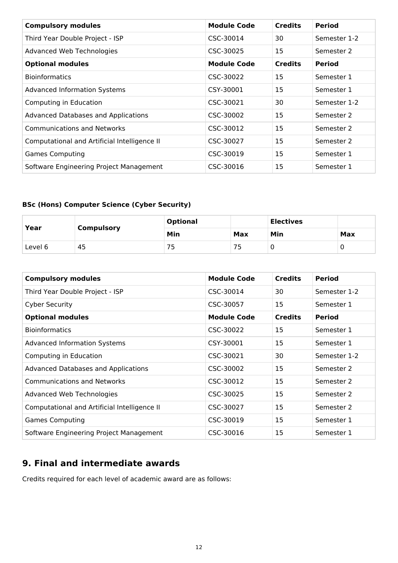| <b>Compulsory modules</b>                    | <b>Module Code</b> | <b>Credits</b> | <b>Period</b> |
|----------------------------------------------|--------------------|----------------|---------------|
| Third Year Double Project - ISP              | CSC-30014          | 30             | Semester 1-2  |
| Advanced Web Technologies                    | CSC-30025          | 15             | Semester 2    |
| <b>Optional modules</b>                      | <b>Module Code</b> | <b>Credits</b> | <b>Period</b> |
| <b>Bioinformatics</b>                        | CSC-30022          | 15             | Semester 1    |
| <b>Advanced Information Systems</b>          | CSY-30001          | 15             | Semester 1    |
| Computing in Education                       | CSC-30021          | 30             | Semester 1-2  |
| Advanced Databases and Applications          | CSC-30002          | 15             | Semester 2    |
| <b>Communications and Networks</b>           | CSC-30012          | 15             | Semester 2    |
| Computational and Artificial Intelligence II | CSC-30027          | 15             | Semester 2    |
| <b>Games Computing</b>                       | CSC-30019          | 15             | Semester 1    |
| Software Engineering Project Management      | CSC-30016          | 15             | Semester 1    |

# **BSc (Hons) Computer Science (Cyber Security)**

| Year    | <b>Compulsory</b> | <b>Optional</b> |     | <b>Electives</b> |     |
|---------|-------------------|-----------------|-----|------------------|-----|
|         |                   | Min             | Max | Min              | Max |
| Level 6 | 45                | ـ -             | ັ   |                  | υ   |

| <b>Compulsory modules</b>                    | <b>Module Code</b> | <b>Credits</b> | <b>Period</b> |
|----------------------------------------------|--------------------|----------------|---------------|
| Third Year Double Project - ISP              | CSC-30014          | 30             | Semester 1-2  |
| <b>Cyber Security</b>                        | CSC-30057          | 15             | Semester 1    |
| <b>Optional modules</b>                      | <b>Module Code</b> | <b>Credits</b> | <b>Period</b> |
| <b>Bioinformatics</b>                        | CSC-30022          | 15             | Semester 1    |
| <b>Advanced Information Systems</b>          | CSY-30001          | 15             | Semester 1    |
| Computing in Education                       | CSC-30021          | 30             | Semester 1-2  |
| Advanced Databases and Applications          | CSC-30002          | 15             | Semester 2    |
| <b>Communications and Networks</b>           | CSC-30012          | 15             | Semester 2    |
| Advanced Web Technologies                    | CSC-30025          | 15             | Semester 2    |
| Computational and Artificial Intelligence II | CSC-30027          | 15             | Semester 2    |
| <b>Games Computing</b>                       | CSC-30019          | 15             | Semester 1    |
| Software Engineering Project Management      | CSC-30016          | 15             | Semester 1    |

# **9. Final and intermediate awards**

Credits required for each level of academic award are as follows: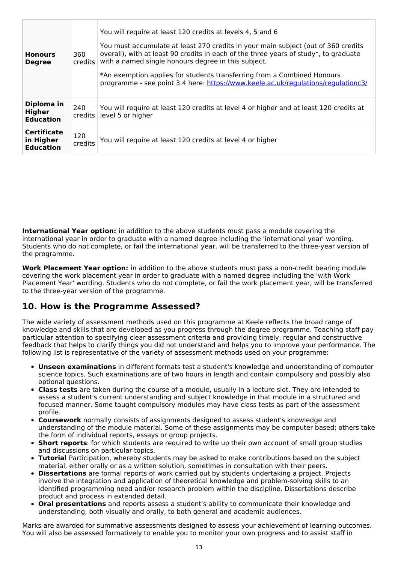| <b>Honours</b><br><b>Degree</b>                     | 360<br><i>credits</i> | You will require at least 120 credits at levels 4, 5 and 6<br>You must accumulate at least 270 credits in your main subject (out of 360 credits<br>overall), with at least 90 credits in each of the three years of study*, to graduate<br>with a named single honours degree in this subject.<br>*An exemption applies for students transferring from a Combined Honours<br>programme - see point 3.4 here: https://www.keele.ac.uk/regulations/regulationc3/ |
|-----------------------------------------------------|-----------------------|----------------------------------------------------------------------------------------------------------------------------------------------------------------------------------------------------------------------------------------------------------------------------------------------------------------------------------------------------------------------------------------------------------------------------------------------------------------|
| Diploma in<br>Higher<br><b>Education</b>            | 240<br>credits        | You will require at least 120 credits at level 4 or higher and at least 120 credits at<br>level 5 or higher                                                                                                                                                                                                                                                                                                                                                    |
| <b>Certificate</b><br>in Higher<br><b>Education</b> | 120<br>credits        | You will require at least 120 credits at level 4 or higher                                                                                                                                                                                                                                                                                                                                                                                                     |

**International Year option:** in addition to the above students must pass a module covering the international year in order to graduate with a named degree including the 'international year' wording. Students who do not complete, or fail the international year, will be transferred to the three-year version of the programme.

**Work Placement Year option:** in addition to the above students must pass a non-credit bearing module covering the work placement year in order to graduate with a named degree including the 'with Work Placement Year' wording. Students who do not complete, or fail the work placement year, will be transferred to the three-year version of the programme.

# **10. How is the Programme Assessed?**

The wide variety of assessment methods used on this programme at Keele reflects the broad range of knowledge and skills that are developed as you progress through the degree programme. Teaching staff pay particular attention to specifying clear assessment criteria and providing timely, regular and constructive feedback that helps to clarify things you did not understand and helps you to improve your performance. The following list is representative of the variety of assessment methods used on your programme:

- **Unseen examinations** in different formats test a student's knowledge and understanding of computer science topics. Such examinations are of two hours in length and contain compulsory and possibly also optional questions.
- **Class tests** are taken during the course of a module, usually in a lecture slot. They are intended to assess a student's current understanding and subject knowledge in that module in a structured and focused manner. Some taught compulsory modules may have class tests as part of the assessment profile.
- **Coursework** normally consists of assignments designed to assess student's knowledge and understanding of the module material. Some of these assignments may be computer based; others take the form of individual reports, essays or group projects.
- **Short reports**: for which students are required to write up their own account of small group studies and discussions on particular topics.
- **Tutorial** Participation, whereby students may be asked to make contributions based on the subject material, either orally or as a written solution, sometimes in consultation with their peers.
- **Dissertations** are formal reports of work carried out by students undertaking a project. Projects involve the integration and application of theoretical knowledge and problem-solving skills to an identified programming need and/or research problem within the discipline. Dissertations describe product and process in extended detail.
- **Oral presentations** and reports assess a student's ability to communicate their knowledge and understanding, both visually and orally, to both general and academic audiences.

Marks are awarded for summative assessments designed to assess your achievement of learning outcomes. You will also be assessed formatively to enable you to monitor your own progress and to assist staff in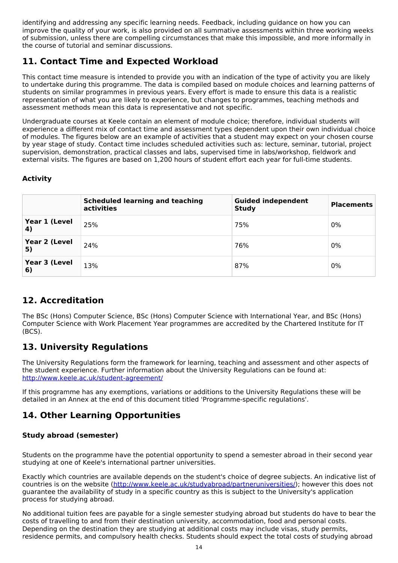identifying and addressing any specific learning needs. Feedback, including guidance on how you can improve the quality of your work, is also provided on all summative assessments within three working weeks of submission, unless there are compelling circumstances that make this impossible, and more informally in the course of tutorial and seminar discussions.

# **11. Contact Time and Expected Workload**

This contact time measure is intended to provide you with an indication of the type of activity you are likely to undertake during this programme. The data is compiled based on module choices and learning patterns of students on similar programmes in previous years. Every effort is made to ensure this data is a realistic representation of what you are likely to experience, but changes to programmes, teaching methods and assessment methods mean this data is representative and not specific.

Undergraduate courses at Keele contain an element of module choice; therefore, individual students will experience a different mix of contact time and assessment types dependent upon their own individual choice of modules. The figures below are an example of activities that a student may expect on your chosen course by year stage of study. Contact time includes scheduled activities such as: lecture, seminar, tutorial, project supervision, demonstration, practical classes and labs, supervised time in labs/workshop, fieldwork and external visits. The figures are based on 1,200 hours of student effort each year for full-time students.

## **Activity**

|                     | <b>Scheduled learning and teaching</b><br>activities | <b>Guided independent</b><br><b>Study</b> | <b>Placements</b> |
|---------------------|------------------------------------------------------|-------------------------------------------|-------------------|
| Year 1 (Level<br>4) | 25%                                                  | 75%                                       | 0%                |
| Year 2 (Level<br>5) | 24%                                                  | 76%                                       | 0%                |
| Year 3 (Level<br>6) | 13%                                                  | 87%                                       | 0%                |

# **12. Accreditation**

The BSc (Hons) Computer Science, BSc (Hons) Computer Science with International Year, and BSc (Hons) Computer Science with Work Placement Year programmes are accredited by the Chartered Institute for IT (BCS).

# **13. University Regulations**

The University Regulations form the framework for learning, teaching and assessment and other aspects of the student experience. Further information about the University Regulations can be found at: <http://www.keele.ac.uk/student-agreement/>

If this programme has any exemptions, variations or additions to the University Regulations these will be detailed in an Annex at the end of this document titled 'Programme-specific regulations'.

# **14. Other Learning Opportunities**

## **Study abroad (semester)**

Students on the programme have the potential opportunity to spend a semester abroad in their second year studying at one of Keele's international partner universities.

Exactly which countries are available depends on the student's choice of degree subjects. An indicative list of countries is on the website (<http://www.keele.ac.uk/studyabroad/partneruniversities/>); however this does not guarantee the availability of study in a specific country as this is subject to the University's application process for studying abroad.

No additional tuition fees are payable for a single semester studying abroad but students do have to bear the costs of travelling to and from their destination university, accommodation, food and personal costs. Depending on the destination they are studying at additional costs may include visas, study permits, residence permits, and compulsory health checks. Students should expect the total costs of studying abroad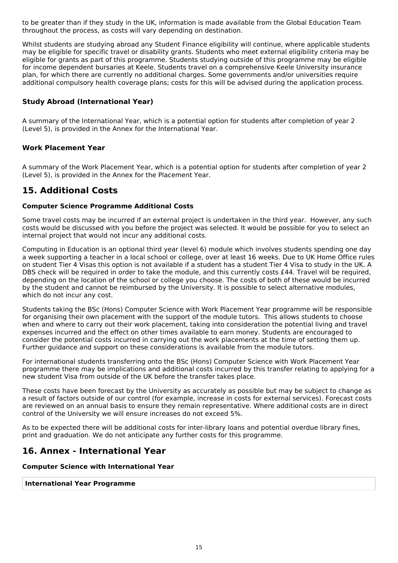to be greater than if they study in the UK, information is made available from the Global Education Team throughout the process, as costs will vary depending on destination.

Whilst students are studying abroad any Student Finance eligibility will continue, where applicable students may be eligible for specific travel or disability grants. Students who meet external eligibility criteria may be eligible for grants as part of this programme. Students studying outside of this programme may be eligible for income dependent bursaries at Keele. Students travel on a comprehensive Keele University insurance plan, for which there are currently no additional charges. Some governments and/or universities require additional compulsory health coverage plans; costs for this will be advised during the application process.

## **Study Abroad (International Year)**

A summary of the International Year, which is a potential option for students after completion of year 2 (Level 5), is provided in the Annex for the International Year.

### **Work Placement Year**

A summary of the Work Placement Year, which is a potential option for students after completion of year 2 (Level 5), is provided in the Annex for the Placement Year.

## **15. Additional Costs**

#### **Computer Science Programme Additional Costs**

Some travel costs may be incurred if an external project is undertaken in the third year. However, any such costs would be discussed with you before the project was selected. It would be possible for you to select an internal project that would not incur any additional costs.

Computing in Education is an optional third year (level 6) module which involves students spending one day a week supporting a teacher in a local school or college, over at least 16 weeks. Due to UK Home Office rules on student Tier 4 Visas this option is not available if a student has a student Tier 4 Visa to study in the UK. A DBS check will be required in order to take the module, and this currently costs £44. Travel will be required, depending on the location of the school or college you choose. The costs of both of these would be incurred by the student and cannot be reimbursed by the University. It is possible to select alternative modules, which do not incur any cost.

Students taking the BSc (Hons) Computer Science with Work Placement Year programme will be responsible for organising their own placement with the support of the module tutors. This allows students to choose when and where to carry out their work placement, taking into consideration the potential living and travel expenses incurred and the effect on other times available to earn money. Students are encouraged to consider the potential costs incurred in carrying out the work placements at the time of setting them up. Further guidance and support on these considerations is available from the module tutors.

For international students transferring onto the BSc (Hons) Computer Science with Work Placement Year programme there may be implications and additional costs incurred by this transfer relating to applying for a new student Visa from outside of the UK before the transfer takes place.

These costs have been forecast by the University as accurately as possible but may be subject to change as a result of factors outside of our control (for example, increase in costs for external services). Forecast costs are reviewed on an annual basis to ensure they remain representative. Where additional costs are in direct control of the University we will ensure increases do not exceed 5%.

As to be expected there will be additional costs for inter-library loans and potential overdue library fines, print and graduation. We do not anticipate any further costs for this programme.

## **16. Annex - International Year**

#### **Computer Science with International Year**

#### **International Year Programme**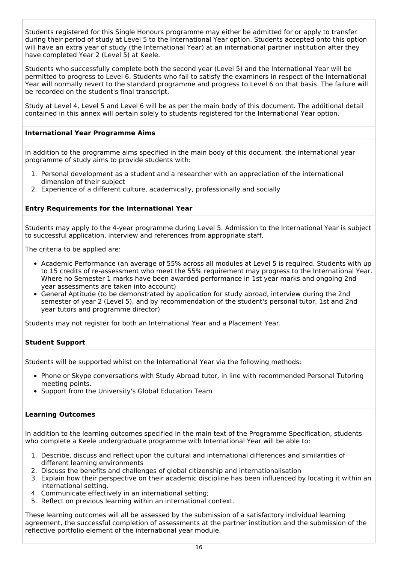Students registered for this Single Honours programme may either be admitted for or apply to transfer during their period of study at Level 5 to the International Year option. Students accepted onto this option will have an extra year of study (the International Year) at an international partner institution after they have completed Year 2 (Level 5) at Keele.

Students who successfully complete both the second year (Level 5) and the International Year will be permitted to progress to Level 6. Students who fail to satisfy the examiners in respect of the International Year will normally revert to the standard programme and progress to Level 6 on that basis. The failure will be recorded on the student's final transcript.

Study at Level 4, Level 5 and Level 6 will be as per the main body of this document. The additional detail contained in this annex will pertain solely to students registered for the International Year option.

#### **International Year Programme Aims**

In addition to the programme aims specified in the main body of this document, the international year programme of study aims to provide students with:

- 1. Personal development as a student and a researcher with an appreciation of the international dimension of their subject
- 2. Experience of a different culture, academically, professionally and socially

#### **Entry Requirements for the International Year**

Students may apply to the 4-year programme during Level 5. Admission to the International Year is subject to successful application, interview and references from appropriate staff.

The criteria to be applied are:

- Academic Performance (an average of 55% across all modules at Level 5 is required. Students with up to 15 credits of re-assessment who meet the 55% requirement may progress to the International Year. Where no Semester 1 marks have been awarded performance in 1st year marks and ongoing 2nd year assessments are taken into account)
- General Aptitude (to be demonstrated by application for study abroad, interview during the 2nd semester of year 2 (Level 5), and by recommendation of the student's personal tutor, 1st and 2nd year tutors and programme director)

Students may not register for both an International Year and a Placement Year.

#### **Student Support**

Students will be supported whilst on the International Year via the following methods:

- Phone or Skype conversations with Study Abroad tutor, in line with recommended Personal Tutoring meeting points.
- Support from the University's Global Education Team

#### **Learning Outcomes**

In addition to the learning outcomes specified in the main text of the Programme Specification, students who complete a Keele undergraduate programme with International Year will be able to:

- 1. Describe, discuss and reflect upon the cultural and international differences and similarities of different learning environments
- 2. Discuss the benefits and challenges of global citizenship and internationalisation
- 3. Explain how their perspective on their academic discipline has been influenced by locating it within an international setting.
- 4. Communicate effectively in an international setting;
- 5. Reflect on previous learning within an international context.

These learning outcomes will all be assessed by the submission of a satisfactory individual learning agreement, the successful completion of assessments at the partner institution and the submission of the reflective portfolio element of the international year module.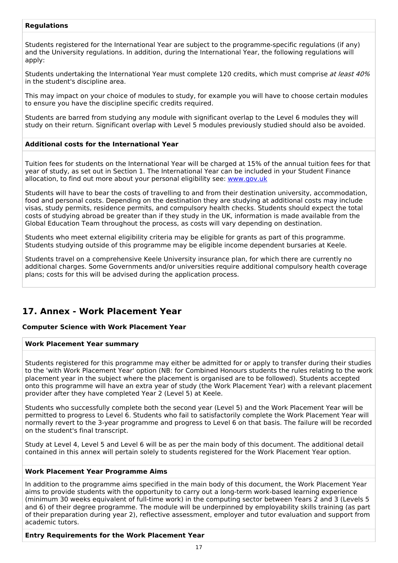### **Regulations**

Students registered for the International Year are subject to the programme-specific regulations (if any) and the University regulations. In addition, during the International Year, the following regulations will apply:

Students undertaking the International Year must complete 120 credits, which must comprise at least 40% in the student's discipline area.

This may impact on your choice of modules to study, for example you will have to choose certain modules to ensure you have the discipline specific credits required.

Students are barred from studying any module with significant overlap to the Level 6 modules they will study on their return. Significant overlap with Level 5 modules previously studied should also be avoided.

#### **Additional costs for the International Year**

Tuition fees for students on the International Year will be charged at 15% of the annual tuition fees for that year of study, as set out in Section 1. The International Year can be included in your Student Finance allocation, to find out more about your personal eligibility see: [www.gov.uk](http://www.gov.uk/)

Students will have to bear the costs of travelling to and from their destination university, accommodation, food and personal costs. Depending on the destination they are studying at additional costs may include visas, study permits, residence permits, and compulsory health checks. Students should expect the total costs of studying abroad be greater than if they study in the UK, information is made available from the Global Education Team throughout the process, as costs will vary depending on destination.

Students who meet external eligibility criteria may be eligible for grants as part of this programme. Students studying outside of this programme may be eligible income dependent bursaries at Keele.

Students travel on a comprehensive Keele University insurance plan, for which there are currently no additional charges. Some Governments and/or universities require additional compulsory health coverage plans; costs for this will be advised during the application process.

# **17. Annex - Work Placement Year**

#### **Computer Science with Work Placement Year**

#### **Work Placement Year summary**

Students registered for this programme may either be admitted for or apply to transfer during their studies to the 'with Work Placement Year' option (NB: for Combined Honours students the rules relating to the work placement year in the subject where the placement is organised are to be followed). Students accepted onto this programme will have an extra year of study (the Work Placement Year) with a relevant placement provider after they have completed Year 2 (Level 5) at Keele.

Students who successfully complete both the second year (Level 5) and the Work Placement Year will be permitted to progress to Level 6. Students who fail to satisfactorily complete the Work Placement Year will normally revert to the 3-year programme and progress to Level 6 on that basis. The failure will be recorded on the student's final transcript.

Study at Level 4, Level 5 and Level 6 will be as per the main body of this document. The additional detail contained in this annex will pertain solely to students registered for the Work Placement Year option.

#### **Work Placement Year Programme Aims**

In addition to the programme aims specified in the main body of this document, the Work Placement Year aims to provide students with the opportunity to carry out a long-term work-based learning experience (minimum 30 weeks equivalent of full-time work) in the computing sector between Years 2 and 3 (Levels 5 and 6) of their degree programme. The module will be underpinned by employability skills training (as part of their preparation during year 2), reflective assessment, employer and tutor evaluation and support from academic tutors.

**Entry Requirements for the Work Placement Year**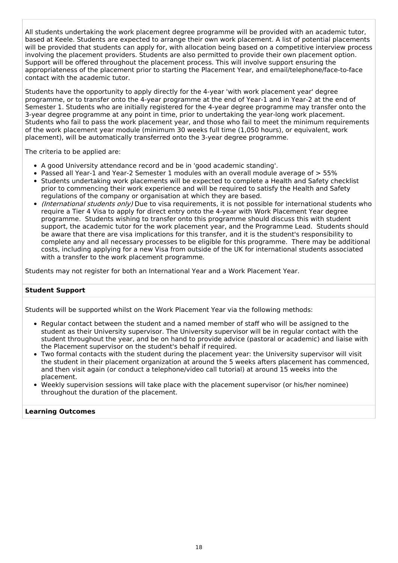All students undertaking the work placement degree programme will be provided with an academic tutor, based at Keele. Students are expected to arrange their own work placement. A list of potential placements will be provided that students can apply for, with allocation being based on a competitive interview process involving the placement providers. Students are also permitted to provide their own placement option. Support will be offered throughout the placement process. This will involve support ensuring the appropriateness of the placement prior to starting the Placement Year, and email/telephone/face-to-face contact with the academic tutor.

Students have the opportunity to apply directly for the 4-year 'with work placement year' degree programme, or to transfer onto the 4-year programme at the end of Year-1 and in Year-2 at the end of Semester 1. Students who are initially registered for the 4-year degree programme may transfer onto the 3-year degree programme at any point in time, prior to undertaking the year-long work placement. Students who fail to pass the work placement year, and those who fail to meet the minimum requirements of the work placement year module (minimum 30 weeks full time (1,050 hours), or equivalent, work placement), will be automatically transferred onto the 3-year degree programme.

The criteria to be applied are:

- A good University attendance record and be in 'good academic standing'.
- Passed all Year-1 and Year-2 Semester 1 modules with an overall module average of > 55%
- Students undertaking work placements will be expected to complete a Health and Safety checklist prior to commencing their work experience and will be required to satisfy the Health and Safety regulations of the company or organisation at which they are based.
- *(International students only)* Due to visa requirements, it is not possible for international students who require a Tier 4 Visa to apply for direct entry onto the 4-year with Work Placement Year degree programme. Students wishing to transfer onto this programme should discuss this with student support, the academic tutor for the work placement year, and the Programme Lead. Students should be aware that there are visa implications for this transfer, and it is the student's responsibility to complete any and all necessary processes to be eligible for this programme. There may be additional costs, including applying for a new Visa from outside of the UK for international students associated with a transfer to the work placement programme.

Students may not register for both an International Year and a Work Placement Year.

#### **Student Support**

Students will be supported whilst on the Work Placement Year via the following methods:

- Regular contact between the student and a named member of staff who will be assigned to the student as their University supervisor. The University supervisor will be in regular contact with the student throughout the year, and be on hand to provide advice (pastoral or academic) and liaise with the Placement supervisor on the student's behalf if required.
- Two formal contacts with the student during the placement year: the University supervisor will visit the student in their placement organization at around the 5 weeks afters placement has commenced, and then visit again (or conduct a telephone/video call tutorial) at around 15 weeks into the placement.
- Weekly supervision sessions will take place with the placement supervisor (or his/her nominee) throughout the duration of the placement.

#### **Learning Outcomes**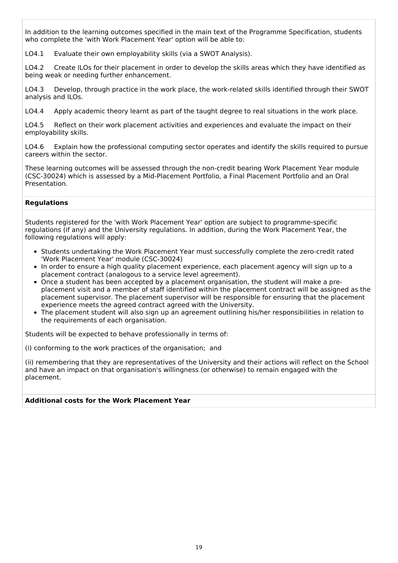In addition to the learning outcomes specified in the main text of the Programme Specification, students who complete the 'with Work Placement Year' option will be able to:

LO4.1 Evaluate their own employability skills (via a SWOT Analysis).

LO4.2 Create ILOs for their placement in order to develop the skills areas which they have identified as being weak or needing further enhancement.

LO4.3 Develop, through practice in the work place, the work-related skills identified through their SWOT analysis and ILOs.

LO4.4 Apply academic theory learnt as part of the taught degree to real situations in the work place.

LO4.5 Reflect on their work placement activities and experiences and evaluate the impact on their employability skills.

LO4.6 Explain how the professional computing sector operates and identify the skills required to pursue careers within the sector.

These learning outcomes will be assessed through the non-credit bearing Work Placement Year module (CSC-30024) which is assessed by a Mid-Placement Portfolio, a Final Placement Portfolio and an Oral Presentation.

#### **Regulations**

Students registered for the 'with Work Placement Year' option are subject to programme-specific regulations (if any) and the University regulations. In addition, during the Work Placement Year, the following regulations will apply:

- Students undertaking the Work Placement Year must successfully complete the zero-credit rated 'Work Placement Year' module (CSC-30024)
- In order to ensure a high quality placement experience, each placement agency will sign up to a placement contract (analogous to a service level agreement).
- Once a student has been accepted by a placement organisation, the student will make a preplacement visit and a member of staff identified within the placement contract will be assigned as the placement supervisor. The placement supervisor will be responsible for ensuring that the placement experience meets the agreed contract agreed with the University.
- The placement student will also sign up an agreement outlining his/her responsibilities in relation to the requirements of each organisation.

Students will be expected to behave professionally in terms of:

(i) conforming to the work practices of the organisation; and

(ii) remembering that they are representatives of the University and their actions will reflect on the School and have an impact on that organisation's willingness (or otherwise) to remain engaged with the placement.

#### **Additional costs for the Work Placement Year**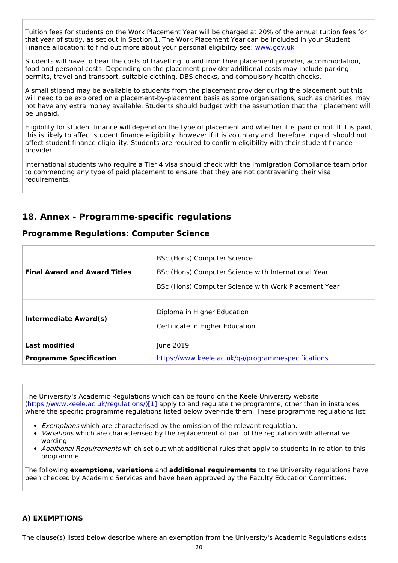Tuition fees for students on the Work Placement Year will be charged at 20% of the annual tuition fees for that year of study, as set out in Section 1. The Work Placement Year can be included in your Student Finance allocation; to find out more about your personal eligibility see: [www.gov.uk](http://www.gov.uk/)

Students will have to bear the costs of travelling to and from their placement provider, accommodation, food and personal costs. Depending on the placement provider additional costs may include parking permits, travel and transport, suitable clothing, DBS checks, and compulsory health checks.

A small stipend may be available to students from the placement provider during the placement but this will need to be explored on a placement-by-placement basis as some organisations, such as charities, may not have any extra money available. Students should budget with the assumption that their placement will be unpaid.

Eligibility for student finance will depend on the type of placement and whether it is paid or not. If it is paid, this is likely to affect student finance eligibility, however if it is voluntary and therefore unpaid, should not affect student finance eligibility. Students are required to confirm eligibility with their student finance provider.

International students who require a Tier 4 visa should check with the Immigration Compliance team prior to commencing any type of paid placement to ensure that they are not contravening their visa requirements.

# **18. Annex - Programme-specific regulations**

## **Programme Regulations: Computer Science**

| <b>Final Award and Award Titles</b> | <b>BSc (Hons) Computer Science</b><br>BSc (Hons) Computer Science with International Year<br>BSc (Hons) Computer Science with Work Placement Year |  |
|-------------------------------------|---------------------------------------------------------------------------------------------------------------------------------------------------|--|
| Intermediate Award(s)               | Diploma in Higher Education<br>Certificate in Higher Education                                                                                    |  |
| <b>Last modified</b>                | June 2019                                                                                                                                         |  |
| <b>Programme Specification</b>      | https://www.keele.ac.uk/ga/programmespecifications                                                                                                |  |

The University's Academic Regulations which can be found on the Keele University website [\(https://www.keele.ac.uk/regulations/](https://www.keele.ac.uk/regulations/)[\)\[1\]](https://scims-api.keele.ac.uk/#_ftn1) apply to and regulate the programme, other than in instances where the specific programme regulations listed below over-ride them. These programme regulations list:

- **Exemptions which are characterised by the omission of the relevant regulation.**
- *Variations* which are characterised by the replacement of part of the regulation with alternative wording.
- Additional Requirements which set out what additional rules that apply to students in relation to this programme.

The following **exemptions, variations** and **additional requirements** to the University regulations have been checked by Academic Services and have been approved by the Faculty Education Committee.

## **A) EXEMPTIONS**

The clause(s) listed below describe where an exemption from the University's Academic Regulations exists: